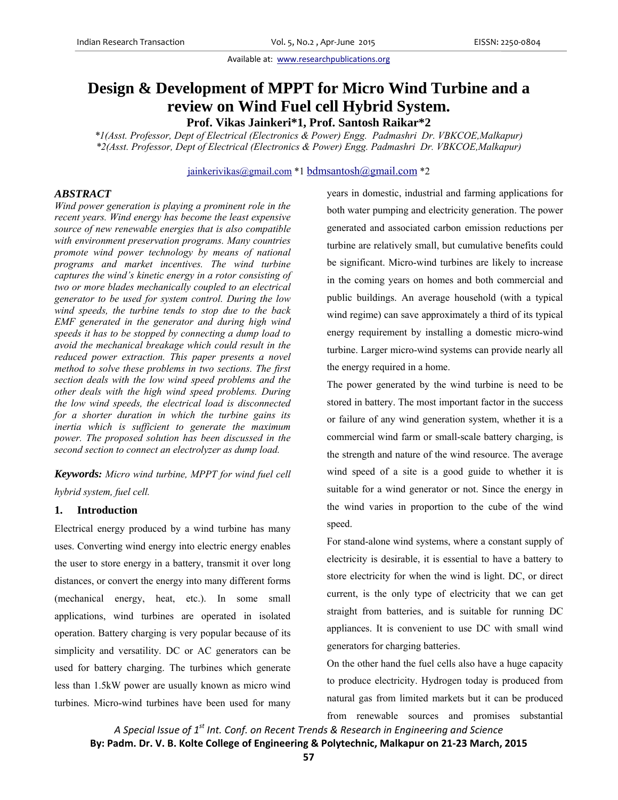# **Design & Development of MPPT for Micro Wind Turbine and a review on Wind Fuel cell Hybrid System.**

**Prof. Vikas Jainkeri\*1, Prof. Santosh Raikar\*2** 

*\*1(Asst. Professor, Dept of Electrical (Electronics & Power) Engg. Padmashri Dr. VBKCOE,Malkapur) \*2(Asst. Professor, Dept of Electrical (Electronics & Power) Engg. Padmashri Dr. VBKCOE,Malkapur)* 

jainkerivikas@gmail.com \*1 bdmsantosh@gmail.com \*2

# *ABSTRACT*

*Wind power generation is playing a prominent role in the recent years. Wind energy has become the least expensive source of new renewable energies that is also compatible with environment preservation programs. Many countries promote wind power technology by means of national programs and market incentives. The wind turbine captures the wind's kinetic energy in a rotor consisting of two or more blades mechanically coupled to an electrical generator to be used for system control. During the low wind speeds, the turbine tends to stop due to the back EMF generated in the generator and during high wind speeds it has to be stopped by connecting a dump load to avoid the mechanical breakage which could result in the reduced power extraction. This paper presents a novel method to solve these problems in two sections. The first section deals with the low wind speed problems and the other deals with the high wind speed problems. During the low wind speeds, the electrical load is disconnected for a shorter duration in which the turbine gains its inertia which is sufficient to generate the maximum power. The proposed solution has been discussed in the second section to connect an electrolyzer as dump load.* 

*Keywords: Micro wind turbine, MPPT for wind fuel cell hybrid system, fuel cell.* 

## **1. Introduction**

Electrical energy produced by a wind turbine has many uses. Converting wind energy into electric energy enables the user to store energy in a battery, transmit it over long distances, or convert the energy into many different forms (mechanical energy, heat, etc.). In some small applications, wind turbines are operated in isolated operation. Battery charging is very popular because of its simplicity and versatility. DC or AC generators can be used for battery charging. The turbines which generate less than 1.5kW power are usually known as micro wind turbines. Micro-wind turbines have been used for many years in domestic, industrial and farming applications for both water pumping and electricity generation. The power generated and associated carbon emission reductions per turbine are relatively small, but cumulative benefits could be significant. Micro-wind turbines are likely to increase in the coming years on homes and both commercial and public buildings. An average household (with a typical wind regime) can save approximately a third of its typical energy requirement by installing a domestic micro-wind turbine. Larger micro-wind systems can provide nearly all the energy required in a home.

The power generated by the wind turbine is need to be stored in battery. The most important factor in the success or failure of any wind generation system, whether it is a commercial wind farm or small-scale battery charging, is the strength and nature of the wind resource. The average wind speed of a site is a good guide to whether it is suitable for a wind generator or not. Since the energy in the wind varies in proportion to the cube of the wind speed.

For stand-alone wind systems, where a constant supply of electricity is desirable, it is essential to have a battery to store electricity for when the wind is light. DC, or direct current, is the only type of electricity that we can get straight from batteries, and is suitable for running DC appliances. It is convenient to use DC with small wind generators for charging batteries.

On the other hand the fuel cells also have a huge capacity to produce electricity. Hydrogen today is produced from natural gas from limited markets but it can be produced from renewable sources and promises substantial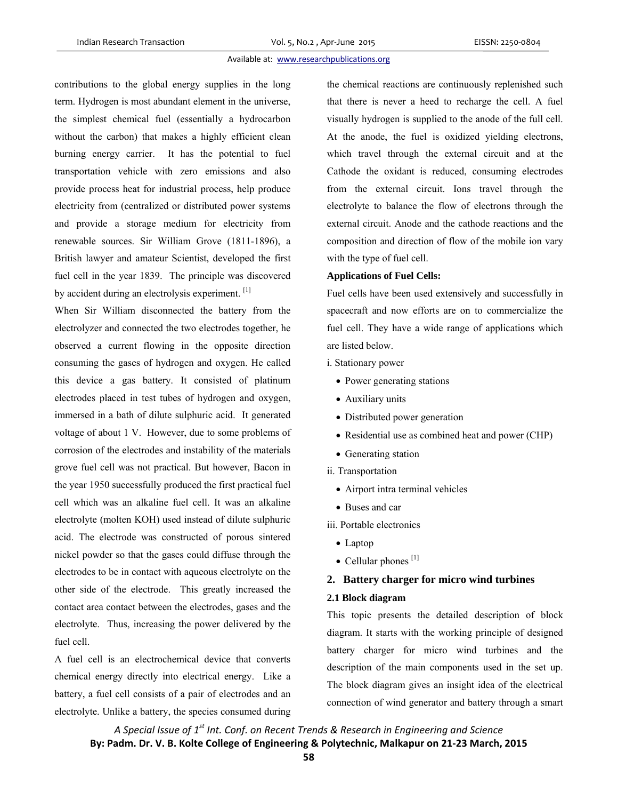## Available at: www.researchpublications.org

contributions to the global energy supplies in the long term. Hydrogen is most abundant element in the universe, the simplest chemical fuel (essentially a hydrocarbon without the carbon) that makes a highly efficient clean burning energy carrier. It has the potential to fuel transportation vehicle with zero emissions and also provide process heat for industrial process, help produce electricity from (centralized or distributed power systems and provide a storage medium for electricity from renewable sources. Sir William Grove (1811-1896), a British lawyer and amateur Scientist, developed the first fuel cell in the year 1839. The principle was discovered by accident during an electrolysis experiment. [1]

When Sir William disconnected the battery from the electrolyzer and connected the two electrodes together, he observed a current flowing in the opposite direction consuming the gases of hydrogen and oxygen. He called this device a gas battery. It consisted of platinum electrodes placed in test tubes of hydrogen and oxygen, immersed in a bath of dilute sulphuric acid. It generated voltage of about 1 V. However, due to some problems of corrosion of the electrodes and instability of the materials grove fuel cell was not practical. But however, Bacon in the year 1950 successfully produced the first practical fuel cell which was an alkaline fuel cell. It was an alkaline electrolyte (molten KOH) used instead of dilute sulphuric acid. The electrode was constructed of porous sintered nickel powder so that the gases could diffuse through the electrodes to be in contact with aqueous electrolyte on the other side of the electrode. This greatly increased the contact area contact between the electrodes, gases and the electrolyte. Thus, increasing the power delivered by the fuel cell.

A fuel cell is an electrochemical device that converts chemical energy directly into electrical energy. Like a battery, a fuel cell consists of a pair of electrodes and an electrolyte. Unlike a battery, the species consumed during the chemical reactions are continuously replenished such that there is never a heed to recharge the cell. A fuel visually hydrogen is supplied to the anode of the full cell. At the anode, the fuel is oxidized yielding electrons, which travel through the external circuit and at the Cathode the oxidant is reduced, consuming electrodes from the external circuit. Ions travel through the electrolyte to balance the flow of electrons through the external circuit. Anode and the cathode reactions and the composition and direction of flow of the mobile ion vary with the type of fuel cell.

## **Applications of Fuel Cells:**

Fuel cells have been used extensively and successfully in spacecraft and now efforts are on to commercialize the fuel cell. They have a wide range of applications which are listed below.

i. Stationary power

- Power generating stations
- Auxiliary units
- Distributed power generation
- Residential use as combined heat and power (CHP)
- Generating station
- ii. Transportation
	- Airport intra terminal vehicles
	- Buses and car

iii. Portable electronics

- Laptop
- $\bullet$  Cellular phones<sup>[1]</sup>

# **2. Battery charger for micro wind turbines**

#### **2.1 Block diagram**

This topic presents the detailed description of block diagram. It starts with the working principle of designed battery charger for micro wind turbines and the description of the main components used in the set up. The block diagram gives an insight idea of the electrical connection of wind generator and battery through a smart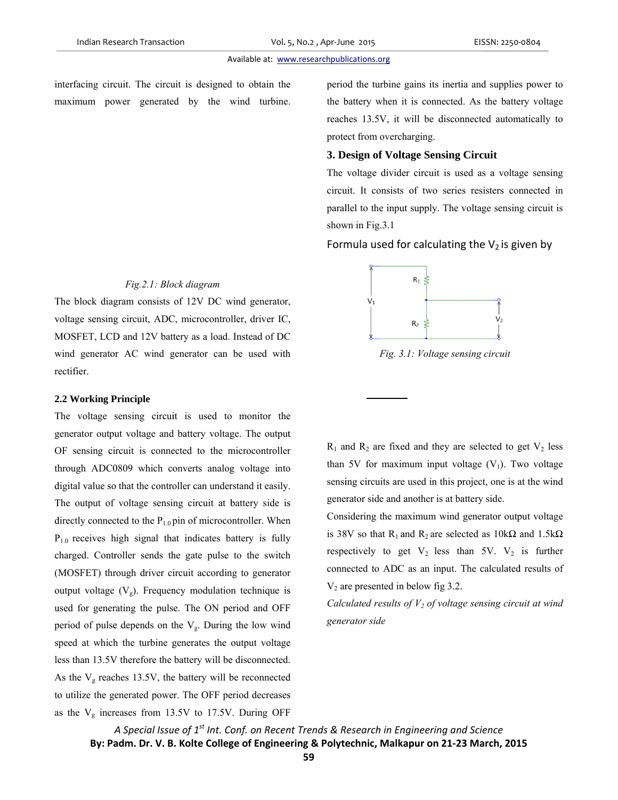#### Available at: www.researchpublications.org

interfacing circuit. The circuit is designed to obtain the maximum power generated by the wind turbine e<br>e.

# $Fig. 2.1: Block diagram$

The block diagram consists of 12V DC wind generator, voltage sensing circuit, ADC, microcontroller, driver IC, MOSFET, LCD and 12V battery as a load. Instead of DC wind generator AC wind generator can be used with r rectifier.

#### **2 2.2 Working P Principle**

The voltage sensing circuit is used to monitor the generator output voltage and battery voltage. The output OF sensing circuit is connected to the microcontroller through ADC0809 which converts analog voltage into digital value so that the controller can understand it easily T The output of voltage sensi ng circuit at b battery side is directly connected to the  $P_{1.0}$  pin of microcontroller. When  $P_{1,0}$  receives high signal that indicates battery is fully charged. Controller sends the gate pulse to the switch (MOSFET) through driver circuit according to generator output voltage  $(V_g)$ . Frequency modulation technique is used for generating the pulse. The ON period and OFF period of pulse depends on the  $V_g$ . During the low wind s speed at which h the turbine g generates the output voltage less than 13.5V therefore the battery will be disconnected As the  $V<sub>g</sub>$  reaches 13.5V, the battery will be reconnected to utilize the generated power. The OFF period decreases as the  $V<sub>g</sub>$  increases from 13.5V to 17.5V. During OFF C th<br>ne ut<br>er to<br>y. is nyhrisFde.<br>Fde. dsFperio

the battery when it is connected. As the battery voltage reaches 13.5V, it will be disconnected automatically to protect from overcharging. od the turbine gains its inertia and supplies power to

## **3. Design of Voltage Sensing Circuit**

The voltage divider circuit is used as a voltage sensing circuit. It consists of two series resisters connected in parallel to the input supply. The voltage sensing circuit is shown in Fig.3.1

Formula used for calculating the  $V_2$  is given by



*Fig. 3 .1: Voltage sen nsing circuit*

 $R_1$  and  $R_2$  are fixed and they are selected to get  $V_2$  less than 5V for maximum input voltage  $(V_1)$ . Two voltage sensing circuits are used in this project, one is at the wind generator side and another is at battery side.

Considering the maximum wind generator output voltage is 38V so that R<sub>1</sub> and R<sub>2</sub> are selected as  $10k\Omega$  and  $1.5k\Omega$ respectively to get  $V_2$  less than 5V.  $V_2$  is further connected to ADC as an input. The calculated results of  $V_2$  are presented in below fig 3.2.

*Calculated results of V<sub>2</sub> of voltage sensing circuit at wind gene rator side*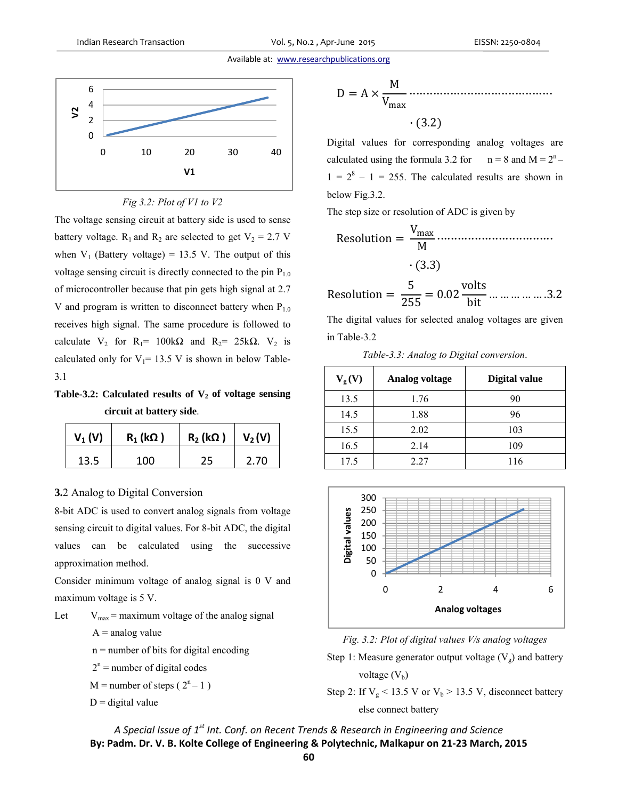#### Available at: www.researchpublications.org





The voltage sensing circuit at battery side is used to sense battery voltage.  $R_1$  and  $R_2$  are selected to get  $V_2 = 2.7$  V when  $V_1$  (Battery voltage) = 13.5 V. The output of this voltage sensing circuit is directly connected to the pin  $P_{1.0}$ of microcontroller because that pin gets high signal at 2.7 V and program is written to disconnect battery when  $P_{1.0}$ receives high signal. The same procedure is followed to calculate  $V_2$  for  $R_1 = 100k\Omega$  and  $R_2 = 25k\Omega$ .  $V_2$  is calculated only for  $V_1$ = 13.5 V is shown in below Table-3.1

Table-3.2: Calculated results of V<sub>2</sub> of voltage sensing **circuit at battery side**.

| $V_1(V)$ | $R_1(k\Omega)$ | $R_2$ (kΩ) | $V_2(V)$ |
|----------|----------------|------------|----------|
| 13.5     | 100            | 25         | 2.70     |

# **3.**2 Analog to Digital Conversion

8-bit ADC is used to convert analog signals from voltage sensing circuit to digital values. For 8-bit ADC, the digital values can be calculated using the successive approximation method.

Consider minimum voltage of analog signal is 0 V and maximum voltage is 5 V.

Let  $V_{\text{max}}$  = maximum voltage of the analog signal

 $A =$ analog value

- n = number of bits for digital encoding
- $2<sup>n</sup>$  = number of digital codes
	- $M =$  number of steps ( $2<sup>n</sup> 1$ )

 $D =$  digital value

$$
D = A \times \frac{M}{V_{\text{max}}}
$$
 (3.2)

Digital values for corresponding analog voltages are calculated using the formula 3.2 for  $n = 8$  and  $M = 2<sup>n</sup>$  $1 = 2<sup>8</sup> - 1 = 255$ . The calculated results are shown in below Fig.3.2.

The step size or resolution of ADC is given by

Resolution ൌ V୫ୟ୶ <sup>M</sup> ·································· · ሺ3.3ሻ

Resolution = 
$$
\frac{5}{255}
$$
 = 0.02  $\frac{\text{volts}}{\text{bit}}$  ... ... ... ... .3.2

The digital values for selected analog voltages are given in Table-3.2

| Table-3.3: Analog to Digital conversion. |
|------------------------------------------|
|------------------------------------------|

| $V_{\rm g}(V)$ | <b>Analog voltage</b> | Digital value |
|----------------|-----------------------|---------------|
| 13.5           | 1.76                  | 90            |
| 14.5           | 1.88                  | 96            |
| 15.5           | 2.02                  | 103           |
| 16.5           | 2.14                  | 109           |
| 17.5           | 2.27                  | 116           |





Step 1: Measure generator output voltage  $(V_g)$  and battery voltage  $(V<sub>b</sub>)$ 

Step 2: If  $V_g$  < 13.5 V or  $V_b$  > 13.5 V, disconnect battery else connect battery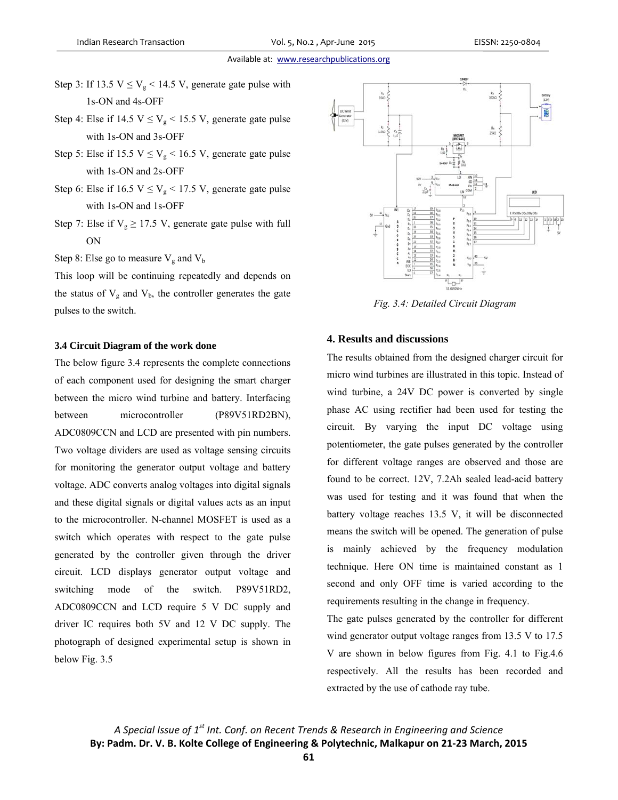#### Available at: www.researchpublications.org

- Step 3: If 13.5  $V \le V_g < 14.5$  V, generate gate pulse with 1s-ON and 4s-OFF
- Step 4: Else if 14.5  $V \le V_g$  < 15.5 V, generate gate pulse with 1s-ON and 3s-OFF
- Step 5: Else if 15.5  $V \le V_g < 16.5$  V, generate gate pulse with 1s-ON and 2s-OFF
- Step 6: Else if  $16.5 \text{ V} \leq V_g < 17.5 \text{ V}$ , generate gate pulse with 1s-ON and 1s-OFF
- Step 7: Else if  $V_g \ge 17.5$  V, generate gate pulse with full ON
- Step 8: Else go to measure  $V_g$  and  $V_b$

This loop will be continuing repeatedly and depends on the status of  $V_g$  and  $V_b$ , the controller generates the gate pulses to the switch.

#### **3.4 Circuit Diagram of the work done**

The below figure 3.4 represents the complete connections of each component used for designing the smart charger between the micro wind turbine and battery. Interfacing between microcontroller (P89V51RD2BN), ADC0809CCN and LCD are presented with pin numbers. Two voltage dividers are used as voltage sensing circuits for monitoring the generator output voltage and battery voltage. ADC converts analog voltages into digital signals and these digital signals or digital values acts as an input to the microcontroller. N-channel MOSFET is used as a switch which operates with respect to the gate pulse generated by the controller given through the driver circuit. LCD displays generator output voltage and switching mode of the switch. P89V51RD2, ADC0809CCN and LCD require 5 V DC supply and driver IC requires both 5V and 12 V DC supply. The photograph of designed experimental setup is shown in below Fig. 3.5



*Fig. 3.4: Detailed Circuit Diagram* 

## **4. Results and discussions**

The results obtained from the designed charger circuit for micro wind turbines are illustrated in this topic. Instead of wind turbine, a 24V DC power is converted by single phase AC using rectifier had been used for testing the circuit. By varying the input DC voltage using potentiometer, the gate pulses generated by the controller for different voltage ranges are observed and those are found to be correct. 12V, 7.2Ah sealed lead-acid battery was used for testing and it was found that when the battery voltage reaches 13.5 V, it will be disconnected means the switch will be opened. The generation of pulse is mainly achieved by the frequency modulation technique. Here ON time is maintained constant as 1 second and only OFF time is varied according to the requirements resulting in the change in frequency.

The gate pulses generated by the controller for different wind generator output voltage ranges from 13.5 V to 17.5 V are shown in below figures from Fig. 4.1 to Fig.4.6 respectively. All the results has been recorded and extracted by the use of cathode ray tube.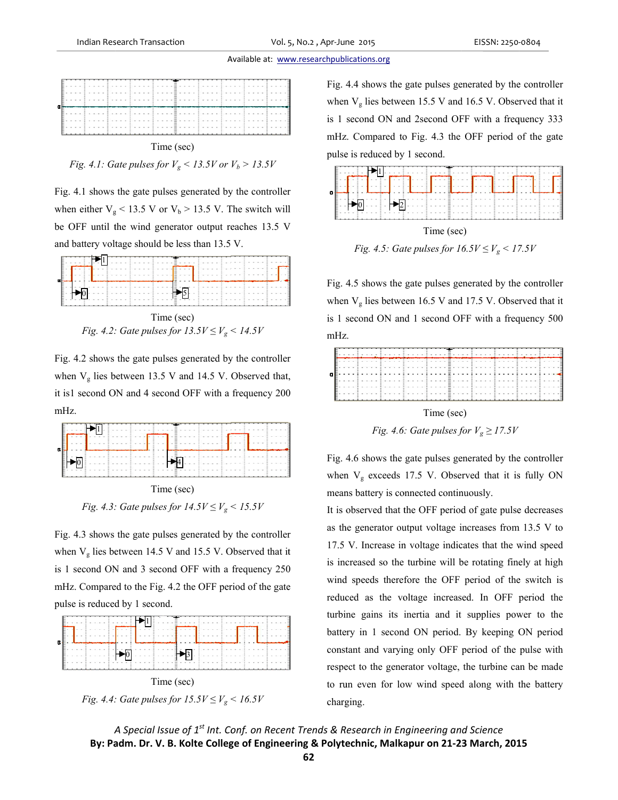#### Available at: www.researchpublications.org



*Fig.* 4.1: Gate pulses for  $V_g < 13.5V$  or  $V_b > 13.5V$ 

Fig. 4.1 shows the gate pulses generated by the controller when either  $V_g < 13.5$  V or  $V_b > 13.5$  V. The switch will be OFF until the wind generator output reaches 13.5 V and battery voltage should be less than 13.5 V. rlr,



*Fig. 4.2: Gate pulses for*  $13.5V \leq V_g \leq 14.5V$ Time (sec)

Fig. 4.2 shows the gate pulses generated by the controller when  $V<sub>g</sub>$  lies between 13.5 V and 14.5 V. Observed that it is1 second ON and 4 second OFF with a frequency 200 m mHz.



*Fig. 4.3: Gate pulses for*  $14.5V \leq V_g \leq 15.5V$ Time (sec)

Fig. 4.3 shows the gate pulses generated by the controller when  $V<sub>g</sub>$  lies between 14.5 V and 15.5 V. Observed that it is 1 second ON and 3 second OFF with a frequency 250 mHz. Compared to the Fig. 4.2 the OFF period of the gate pulse is reduced by 1 second.



*Fig. 4.4: Gate pulses for*  $15.5V \leq V_g < 16.5V$ 

when  $V_g$  lies between 15.5 V and 16.5 V. Observed that it is 1 second ON and 2second OFF with a frequency 333 mHz. Compared to Fig. 4.3 the OFF period of the gate pulse is reduced by 1 second. 4.4 shows the gate pulses ge enerated by the e controller



*Fig. 4.5: Gate pulses for*  $16.5V \leq V_g \leq 17.5V$ 

Fig. 4.5 shows the gate pulses generated by the controller when  $V_g$  lies between 16.5 V and 17.5 V. Observed that it is 1 second ON and 1 second OFF with a frequency 500 mHz z.



*Fig.* 4.6: Gate pulses for  $V_g \ge 17.5V$ 

Fig. 4.6 shows the gate pulses generated by the controller when  $V<sub>g</sub>$  exceeds 17.5 V. Observed that it is fully ON means battery is connected continuously.

It is observed that the OFF period of gate pulse decreases as the generator output voltage increases from 13.5 V to 17.5 V. Increase in voltage indicates that the wind speed is increased so the turbine will be rotating finely at high wind speeds therefore the OFF period of the switch is reduced as the voltage increased. In OFF period the turbine gains its inertia and it supplies power to the battery in 1 second ON period. By keeping ON period constant and varying only OFF period of the pulse with respect to the generator voltage, the turbine can be made to run even for low wind speed along with the battery charg ging.